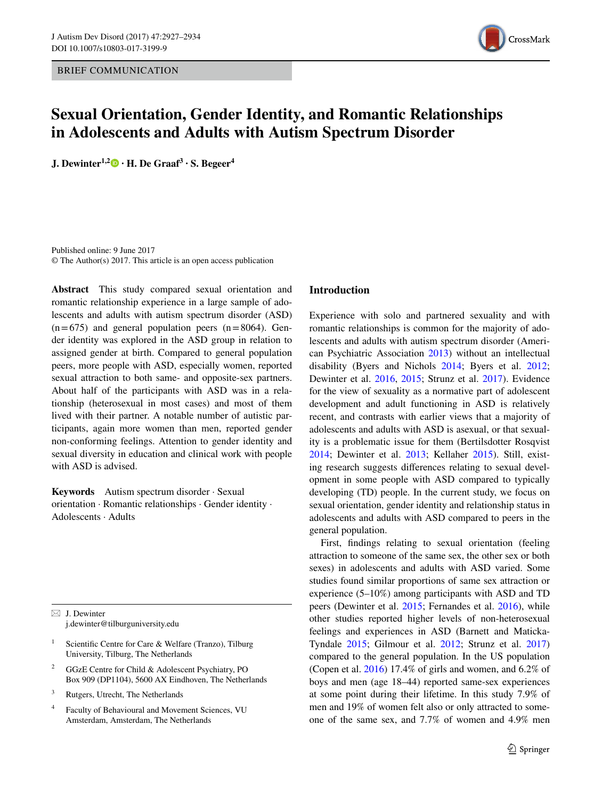BRIEF COMMUNICATION



# **Sexual Orientation, Gender Identity, and Romantic Relationships in Adolescents and Adults with Autism Spectrum Disorder**

**J. Dewinter1,2 · H. De Graaf3 · S. Begeer4**

Published online: 9 June 2017 © The Author(s) 2017. This article is an open access publication

**Abstract** This study compared sexual orientation and romantic relationship experience in a large sample of adolescents and adults with autism spectrum disorder (ASD)  $(n=675)$  and general population peers  $(n=8064)$ . Gender identity was explored in the ASD group in relation to assigned gender at birth. Compared to general population peers, more people with ASD, especially women, reported sexual attraction to both same- and opposite-sex partners. About half of the participants with ASD was in a relationship (heterosexual in most cases) and most of them lived with their partner. A notable number of autistic participants, again more women than men, reported gender non-conforming feelings. Attention to gender identity and sexual diversity in education and clinical work with people with ASD is advised.

**Keywords** Autism spectrum disorder · Sexual orientation · Romantic relationships · Gender identity · Adolescents · Adults

 $\boxtimes$  J. Dewinter j.dewinter@tilburguniversity.edu

- <sup>1</sup> Scientific Centre for Care & Welfare (Tranzo), Tilburg University, Tilburg, The Netherlands
- <sup>2</sup> GGzE Centre for Child & Adolescent Psychiatry, PO Box 909 (DP1104), 5600 AX Eindhoven, The Netherlands
- <sup>3</sup> Rutgers, Utrecht, The Netherlands
- <sup>4</sup> Faculty of Behavioural and Movement Sciences, VU Amsterdam, Amsterdam, The Netherlands

# **Introduction**

Experience with solo and partnered sexuality and with romantic relationships is common for the majority of adolescents and adults with autism spectrum disorder (American Psychiatric Association [2013\)](#page-6-0) without an intellectual disability (Byers and Nichols [2014;](#page-6-1) Byers et al. [2012](#page-6-2); Dewinter et al. [2016,](#page-6-3) [2015](#page-6-4); Strunz et al. [2017\)](#page-7-0). Evidence for the view of sexuality as a normative part of adolescent development and adult functioning in ASD is relatively recent, and contrasts with earlier views that a majority of adolescents and adults with ASD is asexual, or that sexuality is a problematic issue for them (Bertilsdotter Rosqvist [2014](#page-6-5); Dewinter et al. [2013;](#page-6-6) Kellaher [2015](#page-7-1)). Still, existing research suggests differences relating to sexual development in some people with ASD compared to typically developing (TD) people. In the current study, we focus on sexual orientation, gender identity and relationship status in adolescents and adults with ASD compared to peers in the general population.

First, findings relating to sexual orientation (feeling attraction to someone of the same sex, the other sex or both sexes) in adolescents and adults with ASD varied. Some studies found similar proportions of same sex attraction or experience (5–10%) among participants with ASD and TD peers (Dewinter et al. [2015](#page-6-4); Fernandes et al. [2016\)](#page-6-7), while other studies reported higher levels of non-heterosexual feelings and experiences in ASD (Barnett and Maticka-Tyndale [2015](#page-6-8); Gilmour et al. [2012;](#page-6-9) Strunz et al. [2017\)](#page-7-0) compared to the general population. In the US population (Copen et al. [2016](#page-6-10)) 17.4% of girls and women, and 6.2% of boys and men (age 18–44) reported same-sex experiences at some point during their lifetime. In this study 7.9% of men and 19% of women felt also or only attracted to someone of the same sex, and 7.7% of women and 4.9% men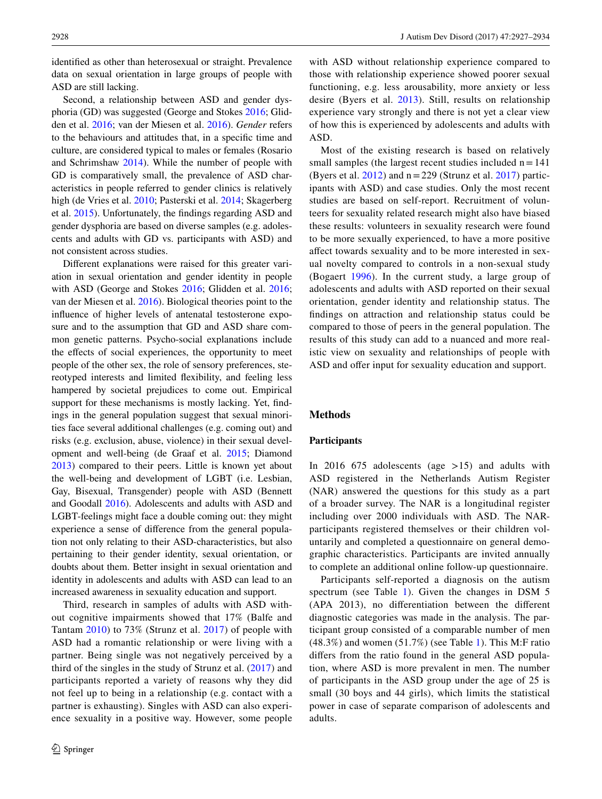identified as other than heterosexual or straight. Prevalence data on sexual orientation in large groups of people with ASD are still lacking.

Second, a relationship between ASD and gender dysphoria (GD) was suggested (George and Stokes [2016;](#page-6-11) Glidden et al. [2016](#page-7-2); van der Miesen et al. [2016](#page-7-3)). *Gender* refers to the behaviours and attitudes that, in a specific time and culture, are considered typical to males or females (Rosario and Schrimshaw [2014\)](#page-7-4). While the number of people with GD is comparatively small, the prevalence of ASD characteristics in people referred to gender clinics is relatively high (de Vries et al. [2010;](#page-6-12) Pasterski et al. [2014;](#page-7-5) Skagerberg et al. [2015](#page-7-6)). Unfortunately, the findings regarding ASD and gender dysphoria are based on diverse samples (e.g. adolescents and adults with GD vs. participants with ASD) and not consistent across studies.

Different explanations were raised for this greater variation in sexual orientation and gender identity in people with ASD (George and Stokes [2016](#page-6-11); Glidden et al. [2016](#page-7-2); van der Miesen et al. [2016\)](#page-7-3). Biological theories point to the influence of higher levels of antenatal testosterone exposure and to the assumption that GD and ASD share common genetic patterns. Psycho-social explanations include the effects of social experiences, the opportunity to meet people of the other sex, the role of sensory preferences, stereotyped interests and limited flexibility, and feeling less hampered by societal prejudices to come out. Empirical support for these mechanisms is mostly lacking. Yet, findings in the general population suggest that sexual minorities face several additional challenges (e.g. coming out) and risks (e.g. exclusion, abuse, violence) in their sexual development and well-being (de Graaf et al. [2015](#page-7-7); Diamond [2013](#page-6-13)) compared to their peers. Little is known yet about the well-being and development of LGBT (i.e. Lesbian, Gay, Bisexual, Transgender) people with ASD (Bennett and Goodall [2016](#page-6-14)). Adolescents and adults with ASD and LGBT-feelings might face a double coming out: they might experience a sense of difference from the general population not only relating to their ASD-characteristics, but also pertaining to their gender identity, sexual orientation, or doubts about them. Better insight in sexual orientation and identity in adolescents and adults with ASD can lead to an increased awareness in sexuality education and support.

Third, research in samples of adults with ASD without cognitive impairments showed that 17% (Balfe and Tantam [2010\)](#page-6-15) to 73% (Strunz et al. [2017](#page-7-0)) of people with ASD had a romantic relationship or were living with a partner. Being single was not negatively perceived by a third of the singles in the study of Strunz et al.  $(2017)$  $(2017)$  $(2017)$  and participants reported a variety of reasons why they did not feel up to being in a relationship (e.g. contact with a partner is exhausting). Singles with ASD can also experience sexuality in a positive way. However, some people

with ASD without relationship experience compared to those with relationship experience showed poorer sexual functioning, e.g. less arousability, more anxiety or less desire (Byers et al. [2013](#page-6-16)). Still, results on relationship experience vary strongly and there is not yet a clear view of how this is experienced by adolescents and adults with ASD.

Most of the existing research is based on relatively small samples (the largest recent studies included  $n=141$ (Byers et al.  $2012$ ) and  $n=229$  (Strunz et al.  $2017$ ) participants with ASD) and case studies. Only the most recent studies are based on self-report. Recruitment of volunteers for sexuality related research might also have biased these results: volunteers in sexuality research were found to be more sexually experienced, to have a more positive affect towards sexuality and to be more interested in sexual novelty compared to controls in a non-sexual study (Bogaert [1996\)](#page-6-17). In the current study, a large group of adolescents and adults with ASD reported on their sexual orientation, gender identity and relationship status. The findings on attraction and relationship status could be compared to those of peers in the general population. The results of this study can add to a nuanced and more realistic view on sexuality and relationships of people with ASD and offer input for sexuality education and support.

# **Methods**

### **Participants**

In 2016 675 adolescents (age  $>15$ ) and adults with ASD registered in the Netherlands Autism Register (NAR) answered the questions for this study as a part of a broader survey. The NAR is a longitudinal register including over 2000 individuals with ASD. The NARparticipants registered themselves or their children voluntarily and completed a questionnaire on general demographic characteristics. Participants are invited annually to complete an additional online follow-up questionnaire.

Participants self-reported a diagnosis on the autism spectrum (see Table [1\)](#page-2-0). Given the changes in DSM 5 (APA 2013), no differentiation between the different diagnostic categories was made in the analysis. The participant group consisted of a comparable number of men  $(48.3\%)$  and women  $(51.7\%)$  (see Table [1\)](#page-2-0). This M:F ratio differs from the ratio found in the general ASD population, where ASD is more prevalent in men. The number of participants in the ASD group under the age of 25 is small (30 boys and 44 girls), which limits the statistical power in case of separate comparison of adolescents and adults.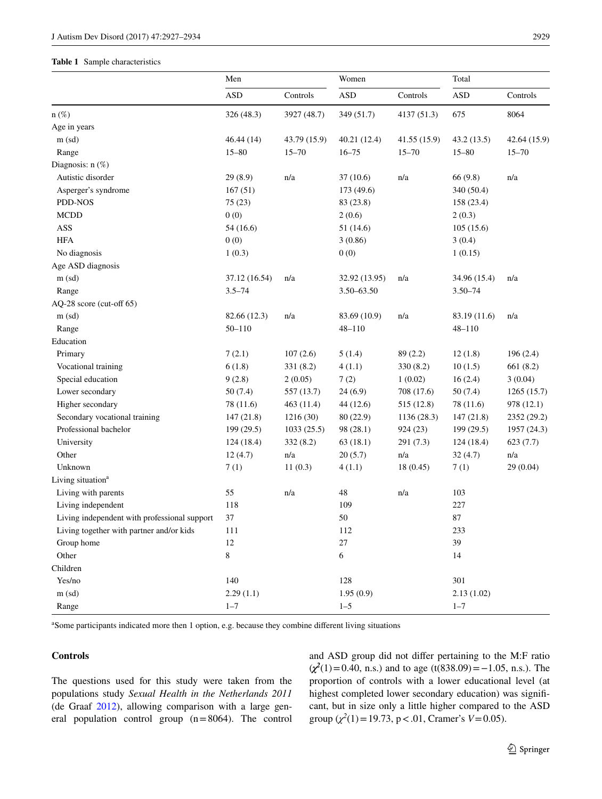### <span id="page-2-0"></span>**Table 1** Sample characteristics

|                                              | Men           |              | Women         |              | Total        |              |
|----------------------------------------------|---------------|--------------|---------------|--------------|--------------|--------------|
|                                              | <b>ASD</b>    | Controls     | ASD           | Controls     | <b>ASD</b>   | Controls     |
| $n(\%)$                                      | 326 (48.3)    | 3927 (48.7)  | 349 (51.7)    | 4137 (51.3)  | 675          | 8064         |
| Age in years                                 |               |              |               |              |              |              |
| $m$ (sd)                                     | 46.44 (14)    | 43.79 (15.9) | 40.21 (12.4)  | 41.55 (15.9) | 43.2(13.5)   | 42.64 (15.9) |
| Range                                        | $15 - 80$     | $15 - 70$    | $16 - 75$     | $15 - 70$    | $15 - 80$    | $15 - 70$    |
| Diagnosis: n (%)                             |               |              |               |              |              |              |
| Autistic disorder                            | 29(8.9)       | n/a          | 37(10.6)      | n/a          | 66 (9.8)     | n/a          |
| Asperger's syndrome                          | 167(51)       |              | 173 (49.6)    |              | 340 (50.4)   |              |
| PDD-NOS                                      | 75(23)        |              | 83 (23.8)     |              | 158 (23.4)   |              |
| <b>MCDD</b>                                  | 0(0)          |              | 2(0.6)        |              | 2(0.3)       |              |
| ASS                                          | 54 (16.6)     |              | 51 (14.6)     |              | 105(15.6)    |              |
| <b>HFA</b>                                   | 0(0)          |              | 3(0.86)       |              | 3(0.4)       |              |
| No diagnosis                                 | 1(0.3)        |              | 0(0)          |              | 1(0.15)      |              |
| Age ASD diagnosis                            |               |              |               |              |              |              |
| $m$ (sd)                                     | 37.12 (16.54) | n/a          | 32.92 (13.95) | n/a          | 34.96 (15.4) | n/a          |
| Range                                        | $3.5 - 74$    |              | 3.50-63.50    |              | $3.50 - 74$  |              |
| AQ-28 score (cut-off 65)                     |               |              |               |              |              |              |
| $m$ (sd)                                     | 82.66 (12.3)  | n/a          | 83.69 (10.9)  | n/a          | 83.19 (11.6) | n/a          |
| Range                                        | $50 - 110$    |              | $48 - 110$    |              | $48 - 110$   |              |
| Education                                    |               |              |               |              |              |              |
| Primary                                      | 7(2.1)        | 107(2.6)     | 5(1.4)        | 89(2.2)      | 12(1.8)      | 196(2.4)     |
| Vocational training                          | 6(1.8)        | 331 (8.2)    | 4(1.1)        | 330(8.2)     | 10(1.5)      | 661(8.2)     |
| Special education                            | 9(2.8)        | 2(0.05)      | 7(2)          | 1(0.02)      | 16(2.4)      | 3(0.04)      |
| Lower secondary                              | 50(7.4)       | 557 (13.7)   | 24(6.9)       | 708 (17.6)   | 50(7.4)      | 1265(15.7)   |
| Higher secondary                             | 78 (11.6)     | 463(11.4)    | 44 (12.6)     | 515 (12.8)   | 78 (11.6)    | 978 (12.1)   |
| Secondary vocational training                | 147(21.8)     | 1216 (30)    | 80 (22.9)     | 1136 (28.3)  | 147(21.8)    | 2352 (29.2)  |
| Professional bachelor                        | 199(29.5)     | 1033(25.5)   | 98 (28.1)     | 924 (23)     | 199 (29.5)   | 1957 (24.3)  |
| University                                   | 124(18.4)     | 332(8.2)     | 63(18.1)      | 291 (7.3)    | 124(18.4)    | 623(7.7)     |
| Other                                        | 12(4.7)       | n/a          | 20(5.7)       | n/a          | 32(4.7)      | n/a          |
| Unknown                                      | 7(1)          | 11(0.3)      | 4(1.1)        | 18(0.45)     | 7(1)         | 29 (0.04)    |
| Living situation <sup>a</sup>                |               |              |               |              |              |              |
| Living with parents                          | 55            | n/a          | 48            | n/a          | 103          |              |
| Living independent                           | 118           |              | 109           |              | 227          |              |
| Living independent with professional support | 37            |              | 50            |              | 87           |              |
| Living together with partner and/or kids     | 111           |              | 112           |              | 233          |              |
| Group home                                   | $12\,$        |              | 27            |              | 39           |              |
| Other                                        | 8             |              | 6             |              | 14           |              |
| Children                                     |               |              |               |              |              |              |
| Yes/no                                       | 140           |              | 128           |              | 301          |              |
| $m$ (sd)                                     | 2.29(1.1)     |              | 1.95(0.9)     |              | 2.13(1.02)   |              |
| Range                                        | $1 - 7$       |              | $1 - 5$       |              | $1 - 7$      |              |

<sup>a</sup>Some participants indicated more then 1 option, e.g. because they combine different living situations

# **Controls**

The questions used for this study were taken from the populations study *Sexual Health in the Netherlands 2011* (de Graaf [2012](#page-6-18)), allowing comparison with a large general population control group  $(n=8064)$ . The control and ASD group did not differ pertaining to the M:F ratio  $(\chi^2(1)=0.40, \text{ n.s.})$  and to age (t(838.09) = -1.05, n.s.). The proportion of controls with a lower educational level (at highest completed lower secondary education) was significant, but in size only a little higher compared to the ASD group  $(\chi^2(1) = 19.73, p < .01,$  Cramer's *V* = 0.05).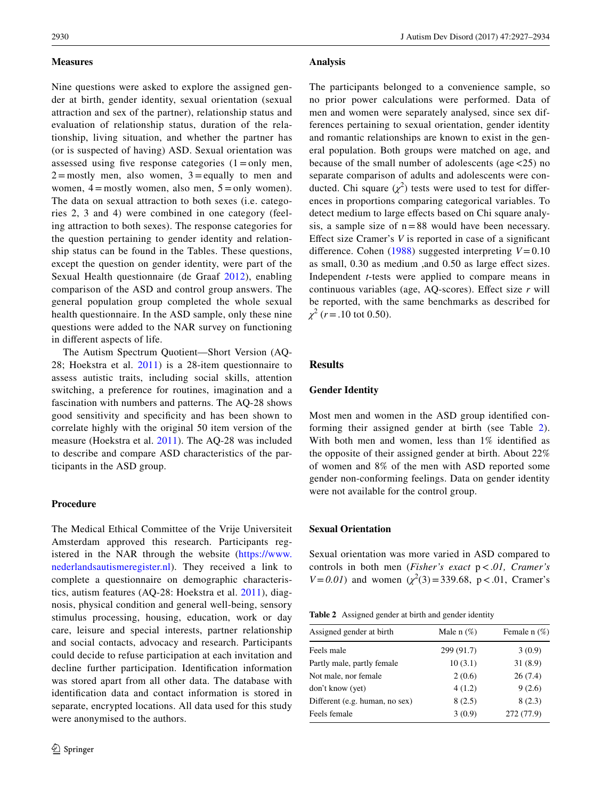## **Measures**

Nine questions were asked to explore the assigned gender at birth, gender identity, sexual orientation (sexual attraction and sex of the partner), relationship status and evaluation of relationship status, duration of the relationship, living situation, and whether the partner has (or is suspected of having) ASD. Sexual orientation was assessed using five response categories  $(1=only$  men,  $2 = \text{mostly men}$ , also women,  $3 = \text{equally}$  to men and women,  $4 = \text{mostly women}$ , also men,  $5 = \text{only women}$ . The data on sexual attraction to both sexes (i.e. categories 2, 3 and 4) were combined in one category (feeling attraction to both sexes). The response categories for the question pertaining to gender identity and relationship status can be found in the Tables. These questions, except the question on gender identity, were part of the Sexual Health questionnaire (de Graaf [2012\)](#page-6-18), enabling comparison of the ASD and control group answers. The general population group completed the whole sexual health questionnaire. In the ASD sample, only these nine questions were added to the NAR survey on functioning in different aspects of life.

The Autism Spectrum Quotient—Short Version (AQ-28; Hoekstra et al. [2011\)](#page-7-8) is a 28-item questionnaire to assess autistic traits, including social skills, attention switching, a preference for routines, imagination and a fascination with numbers and patterns. The AQ-28 shows good sensitivity and specificity and has been shown to correlate highly with the original 50 item version of the measure (Hoekstra et al. [2011\)](#page-7-8). The AQ-28 was included to describe and compare ASD characteristics of the participants in the ASD group.

## **Procedure**

The Medical Ethical Committee of the Vrije Universiteit Amsterdam approved this research. Participants registered in the NAR through the website [\(https://www.](https://www.nederlandsautismeregister.nl) [nederlandsautismeregister.nl\)](https://www.nederlandsautismeregister.nl). They received a link to complete a questionnaire on demographic characteristics, autism features (AQ-28: Hoekstra et al. [2011\)](#page-7-8), diagnosis, physical condition and general well-being, sensory stimulus processing, housing, education, work or day care, leisure and special interests, partner relationship and social contacts, advocacy and research. Participants could decide to refuse participation at each invitation and decline further participation. Identification information was stored apart from all other data. The database with identification data and contact information is stored in separate, encrypted locations. All data used for this study were anonymised to the authors.

# **Analysis**

The participants belonged to a convenience sample, so no prior power calculations were performed. Data of men and women were separately analysed, since sex differences pertaining to sexual orientation, gender identity and romantic relationships are known to exist in the general population. Both groups were matched on age, and because of the small number of adolescents (age<25) no separate comparison of adults and adolescents were conducted. Chi square  $(\chi^2)$  tests were used to test for differences in proportions comparing categorical variables. To detect medium to large effects based on Chi square analysis, a sample size of  $n=88$  would have been necessary. Effect size Cramer's *V* is reported in case of a significant difference. Cohen ([1988\)](#page-6-19) suggested interpreting *V*=0.10 as small, 0.30 as medium ,and 0.50 as large effect sizes. Independent *t*-tests were applied to compare means in continuous variables (age, AQ-scores). Effect size *r* will be reported, with the same benchmarks as described for *χ*2 (*r*=.10 tot 0.50).

## **Results**

## **Gender Identity**

Most men and women in the ASD group identified conforming their assigned gender at birth (see Table [2](#page-3-0)). With both men and women, less than 1% identified as the opposite of their assigned gender at birth. About 22% of women and 8% of the men with ASD reported some gender non-conforming feelings. Data on gender identity were not available for the control group.

## **Sexual Orientation**

Sexual orientation was more varied in ASD compared to controls in both men (*Fisher's exact* p<.*01, Cramer's V*=*0.01*) and women  $(\chi^2(3) = 339.68, p < .01,$  Cramer's

<span id="page-3-0"></span>**Table 2** Assigned gender at birth and gender identity

| Assigned gender at birth       | Male n $(\%)$ | Female $n(\%)$ |  |
|--------------------------------|---------------|----------------|--|
| Feels male                     | 299 (91.7)    | 3(0.9)         |  |
| Partly male, partly female     | 10(3.1)       | 31(8.9)        |  |
| Not male, nor female           | 2(0.6)        | 26(7.4)        |  |
| don't know (yet)               | 4(1.2)        | 9(2.6)         |  |
| Different (e.g. human, no sex) | 8(2.5)        | 8(2.3)         |  |
| Feels female                   | 3(0.9)        | 272 (77.9)     |  |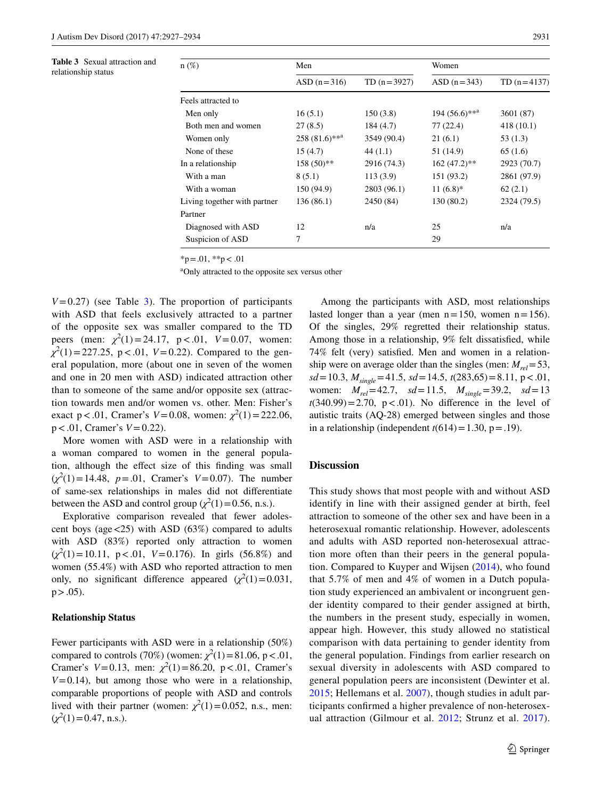<span id="page-4-0"></span>

| $n(\%)$                      | Men                         |               | Women                       |               |  |
|------------------------------|-----------------------------|---------------|-----------------------------|---------------|--|
|                              | $ASD (n=316)$               | TD $(n=3927)$ | $ASD (n = 343)$             | TD $(n=4137)$ |  |
| Feels attracted to           |                             |               |                             |               |  |
| Men only                     | 16(5.1)                     | 150(3.8)      | $194(56.6)$ ** <sup>a</sup> | 3601 (87)     |  |
| Both men and women           | 27(8.5)                     | 184(4.7)      | 77(22.4)                    | 418(10.1)     |  |
| Women only                   | $258(81.6)$ ** <sup>a</sup> | 3549 (90.4)   | 21(6.1)                     | 53(1.3)       |  |
| None of these                | 15(4.7)                     | 44(1.1)       | 51 (14.9)                   | 65(1.6)       |  |
| In a relationship            | $158(50)*$                  | 2916 (74.3)   | $162(47.2)$ **              | 2923 (70.7)   |  |
| With a man                   | 8(5.1)                      | 113(3.9)      | 151 (93.2)                  | 2861 (97.9)   |  |
| With a woman                 | 150 (94.9)                  | 2803 (96.1)   | $11(6.8)$ *                 | 62(2.1)       |  |
| Living together with partner | 136(86.1)                   | 2450 (84)     | 130(80.2)                   | 2324 (79.5)   |  |
| Partner                      |                             |               |                             |               |  |
| Diagnosed with ASD           | 12                          | n/a           | 25                          | n/a           |  |
| Suspicion of ASD             | 7                           |               | 29                          |               |  |

 $*_{p} = .01, **_{p} < .01$ 

<sup>a</sup>Only attracted to the opposite sex versus other

 $V=0.27$ ) (see Table [3\)](#page-4-0). The proportion of participants with ASD that feels exclusively attracted to a partner of the opposite sex was smaller compared to the TD peers (men:  $\chi^2(1) = 24.17$ ,  $p < .01$ ,  $V = 0.07$ , women: *χ*<sup>2</sup>(1) = 227.25, p < .01, *V* = 0.22). Compared to the general population, more (about one in seven of the women and one in 20 men with ASD) indicated attraction other than to someone of the same and/or opposite sex (attraction towards men and/or women vs. other. Men: Fisher's exact  $p < .01$ , Cramer's  $V = 0.08$ , women:  $\chi^2(1) = 222.06$ , p<.01, Cramer's *V*=0.22).

More women with ASD were in a relationship with a woman compared to women in the general population, although the effect size of this finding was small (*χ*2 (1)=14.48, *p*=.01, Cramer's *V*=0.07). The number of same-sex relationships in males did not differentiate between the ASD and control group  $(\chi^2(1)=0.56, n.s.).$ 

Explorative comparison revealed that fewer adolescent boys (age<25) with ASD (63%) compared to adults with ASD (83%) reported only attraction to women  $(\chi^2(1)=10.11, p<0.1, V=0.176)$ . In girls (56.8%) and women (55.4%) with ASD who reported attraction to men only, no significant difference appeared  $(\chi^2(1)=0.031)$ ,  $p > .05$ ).

#### **Relationship Status**

Fewer participants with ASD were in a relationship (50%) compared to controls (70%) (women:  $\chi^2(1) = 81.06$ , p < .01, Cramer's  $V=0.13$ , men:  $\chi^2(1) = 86.20$ , p < .01, Cramer's  $V=0.14$ ), but among those who were in a relationship, comparable proportions of people with ASD and controls lived with their partner (women:  $\chi^2(1) = 0.052$ , n.s., men:  $(\chi^2(1)=0.47, n.s.).$ 

Among the participants with ASD, most relationships lasted longer than a year (men  $n=150$ , women  $n=156$ ). Of the singles, 29% regretted their relationship status. Among those in a relationship, 9% felt dissatisfied, while 74% felt (very) satisfied. Men and women in a relationship were on average older than the singles (men:  $M_{rel}$  = 53, *sd*=10.3, *Msingle*=41.5, *sd*=14.5, *t*(283,65)=8.11, p<.01, women:  $M_{rel} = 42.7$ ,  $sd = 11.5$ ,  $M_{single} = 39.2$ ,  $sd = 13$  $t(340.99) = 2.70$ ,  $p < .01$ ). No difference in the level of autistic traits (AQ-28) emerged between singles and those in a relationship (independent  $t(614)=1.30$ , p=.19).

## **Discussion**

This study shows that most people with and without ASD identify in line with their assigned gender at birth, feel attraction to someone of the other sex and have been in a heterosexual romantic relationship. However, adolescents and adults with ASD reported non-heterosexual attraction more often than their peers in the general population. Compared to Kuyper and Wijsen ([2014](#page-7-9)), who found that 5.7% of men and 4% of women in a Dutch population study experienced an ambivalent or incongruent gender identity compared to their gender assigned at birth, the numbers in the present study, especially in women, appear high. However, this study allowed no statistical comparison with data pertaining to gender identity from the general population. Findings from earlier research on sexual diversity in adolescents with ASD compared to general population peers are inconsistent (Dewinter et al. [2015;](#page-6-4) Hellemans et al. [2007](#page-7-10)), though studies in adult participants confirmed a higher prevalence of non-heterosexual attraction (Gilmour et al. [2012](#page-6-9); Strunz et al. [2017](#page-7-0)).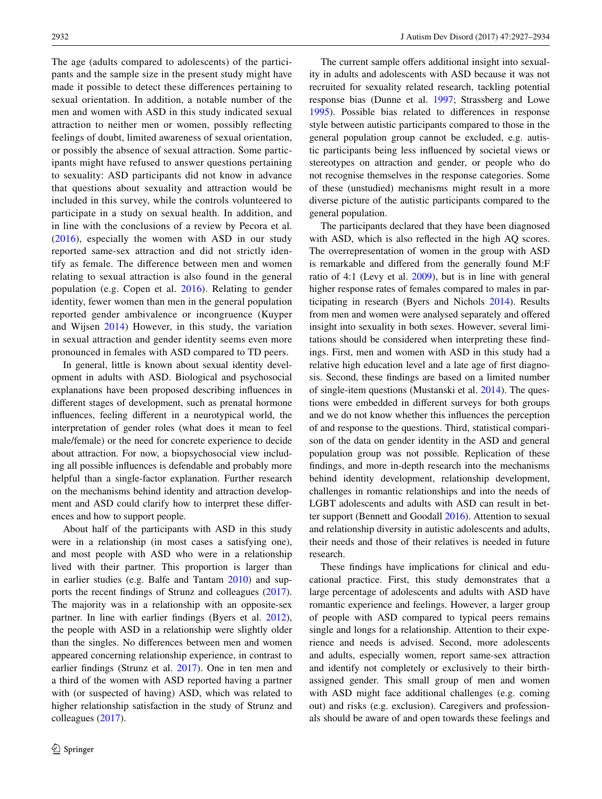The age (adults compared to adolescents) of the participants and the sample size in the present study might have made it possible to detect these differences pertaining to sexual orientation. In addition, a notable number of the men and women with ASD in this study indicated sexual attraction to neither men or women, possibly reflecting feelings of doubt, limited awareness of sexual orientation, or possibly the absence of sexual attraction. Some participants might have refused to answer questions pertaining to sexuality: ASD participants did not know in advance that questions about sexuality and attraction would be included in this survey, while the controls volunteered to participate in a study on sexual health. In addition, and in line with the conclusions of a review by Pecora et al. [\(2016](#page-7-11)), especially the women with ASD in our study reported same-sex attraction and did not strictly identify as female. The difference between men and women relating to sexual attraction is also found in the general population (e.g. Copen et al. [2016\)](#page-6-10). Relating to gender identity, fewer women than men in the general population reported gender ambivalence or incongruence (Kuyper and Wijsen [2014\)](#page-7-9) However, in this study, the variation in sexual attraction and gender identity seems even more pronounced in females with ASD compared to TD peers.

In general, little is known about sexual identity development in adults with ASD. Biological and psychosocial explanations have been proposed describing influences in different stages of development, such as prenatal hormone influences, feeling different in a neurotypical world, the interpretation of gender roles (what does it mean to feel male/female) or the need for concrete experience to decide about attraction. For now, a biopsychosocial view including all possible influences is defendable and probably more helpful than a single-factor explanation. Further research on the mechanisms behind identity and attraction development and ASD could clarify how to interpret these differences and how to support people.

About half of the participants with ASD in this study were in a relationship (in most cases a satisfying one), and most people with ASD who were in a relationship lived with their partner. This proportion is larger than in earlier studies (e.g. Balfe and Tantam [2010\)](#page-6-15) and supports the recent findings of Strunz and colleagues [\(2017](#page-7-0)). The majority was in a relationship with an opposite-sex partner. In line with earlier findings (Byers et al. [2012](#page-6-2)), the people with ASD in a relationship were slightly older than the singles. No differences between men and women appeared concerning relationship experience, in contrast to earlier findings (Strunz et al. [2017](#page-7-0)). One in ten men and a third of the women with ASD reported having a partner with (or suspected of having) ASD, which was related to higher relationship satisfaction in the study of Strunz and colleagues [\(2017](#page-7-0)).

The current sample offers additional insight into sexuality in adults and adolescents with ASD because it was not recruited for sexuality related research, tackling potential response bias (Dunne et al. [1997;](#page-6-20) Strassberg and Lowe [1995](#page-7-12)). Possible bias related to differences in response style between autistic participants compared to those in the general population group cannot be excluded, e.g. autistic participants being less influenced by societal views or stereotypes on attraction and gender, or people who do not recognise themselves in the response categories. Some of these (unstudied) mechanisms might result in a more diverse picture of the autistic participants compared to the general population.

The participants declared that they have been diagnosed with ASD, which is also reflected in the high AQ scores. The overrepresentation of women in the group with ASD is remarkable and differed from the generally found M:F ratio of 4:1 (Levy et al. [2009\)](#page-7-13), but is in line with general higher response rates of females compared to males in participating in research (Byers and Nichols [2014](#page-6-1)). Results from men and women were analysed separately and offered insight into sexuality in both sexes. However, several limitations should be considered when interpreting these findings. First, men and women with ASD in this study had a relative high education level and a late age of first diagnosis. Second, these findings are based on a limited number of single-item questions (Mustanski et al. [2014\)](#page-7-14). The questions were embedded in different surveys for both groups and we do not know whether this influences the perception of and response to the questions. Third, statistical comparison of the data on gender identity in the ASD and general population group was not possible. Replication of these findings, and more in-depth research into the mechanisms behind identity development, relationship development, challenges in romantic relationships and into the needs of LGBT adolescents and adults with ASD can result in better support (Bennett and Goodall [2016](#page-6-14)). Attention to sexual and relationship diversity in autistic adolescents and adults, their needs and those of their relatives is needed in future research.

These findings have implications for clinical and educational practice. First, this study demonstrates that a large percentage of adolescents and adults with ASD have romantic experience and feelings. However, a larger group of people with ASD compared to typical peers remains single and longs for a relationship. Attention to their experience and needs is advised. Second, more adolescents and adults, especially women, report same-sex attraction and identify not completely or exclusively to their birthassigned gender. This small group of men and women with ASD might face additional challenges (e.g. coming out) and risks (e.g. exclusion). Caregivers and professionals should be aware of and open towards these feelings and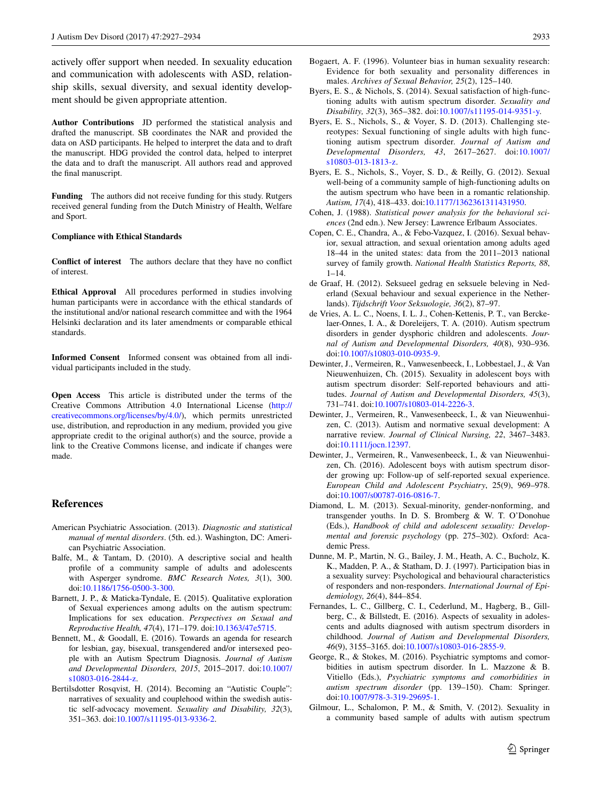actively offer support when needed. In sexuality education and communication with adolescents with ASD, relationship skills, sexual diversity, and sexual identity development should be given appropriate attention.

**Author Contributions** JD performed the statistical analysis and drafted the manuscript. SB coordinates the NAR and provided the data on ASD participants. He helped to interpret the data and to draft the manuscript. HDG provided the control data, helped to interpret the data and to draft the manuscript. All authors read and approved the final manuscript.

**Funding** The authors did not receive funding for this study. Rutgers received general funding from the Dutch Ministry of Health, Welfare and Sport.

### **Compliance with Ethical Standards**

**Conflict of interest** The authors declare that they have no conflict of interest.

**Ethical Approval** All procedures performed in studies involving human participants were in accordance with the ethical standards of the institutional and/or national research committee and with the 1964 Helsinki declaration and its later amendments or comparable ethical standards.

**Informed Consent** Informed consent was obtained from all individual participants included in the study.

**Open Access** This article is distributed under the terms of the Creative Commons Attribution 4.0 International License ([http://](http://creativecommons.org/licenses/by/4.0/) [creativecommons.org/licenses/by/4.0/](http://creativecommons.org/licenses/by/4.0/)), which permits unrestricted use, distribution, and reproduction in any medium, provided you give appropriate credit to the original author(s) and the source, provide a link to the Creative Commons license, and indicate if changes were made.

## **References**

- <span id="page-6-0"></span>American Psychiatric Association. (2013). *Diagnostic and statistical manual of mental disorders*. (5th. ed.). Washington, DC: American Psychiatric Association.
- <span id="page-6-15"></span>Balfe, M., & Tantam, D. (2010). A descriptive social and health profile of a community sample of adults and adolescents with Asperger syndrome. *BMC Research Notes, 3*(1), 300. doi[:10.1186/1756-0500-3-300.](http://dx.doi.org/10.1186/1756-0500-3-300)
- <span id="page-6-8"></span>Barnett, J. P., & Maticka-Tyndale, E. (2015). Qualitative exploration of Sexual experiences among adults on the autism spectrum: Implications for sex education. *Perspectives on Sexual and Reproductive Health, 47*(4), 171–179. doi[:10.1363/47e5715](http://dx.doi.org/10.1363/47e5715).
- <span id="page-6-14"></span>Bennett, M., & Goodall, E. (2016). Towards an agenda for research for lesbian, gay, bisexual, transgendered and/or intersexed people with an Autism Spectrum Diagnosis. *Journal of Autism and Developmental Disorders, 2015*, 2015–2017. doi[:10.1007/](http://dx.doi.org/10.1007/s10803-016-2844-z) [s10803-016-2844-z.](http://dx.doi.org/10.1007/s10803-016-2844-z)
- <span id="page-6-5"></span>Bertilsdotter Rosqvist, H. (2014). Becoming an "Autistic Couple": narratives of sexuality and couplehood within the swedish autistic self-advocacy movement. *Sexuality and Disability, 32*(3), 351–363. doi[:10.1007/s11195-013-9336-2](http://dx.doi.org/10.1007/s11195-013-9336-2).
- <span id="page-6-17"></span>Bogaert, A. F. (1996). Volunteer bias in human sexuality research: Evidence for both sexuality and personality differences in males. *Archives of Sexual Behavior, 25*(2), 125–140.
- <span id="page-6-1"></span>Byers, E. S., & Nichols, S. (2014). Sexual satisfaction of high-functioning adults with autism spectrum disorder. *Sexuality and Disability, 32*(3), 365–382. doi:[10.1007/s11195-014-9351-y.](http://dx.doi.org/10.1007/s11195-014-9351-y)
- <span id="page-6-16"></span>Byers, E. S., Nichols, S., & Voyer, S. D. (2013). Challenging stereotypes: Sexual functioning of single adults with high functioning autism spectrum disorder. *Journal of Autism and Developmental Disorders, 43*, 2617–2627. doi[:10.1007/](http://dx.doi.org/10.1007/s10803-013-1813-z) [s10803-013-1813-z.](http://dx.doi.org/10.1007/s10803-013-1813-z)
- <span id="page-6-2"></span>Byers, E. S., Nichols, S., Voyer, S. D., & Reilly, G. (2012). Sexual well-being of a community sample of high-functioning adults on the autism spectrum who have been in a romantic relationship. *Autism, 17*(4), 418–433. doi:[10.1177/1362361311431950.](http://dx.doi.org/10.1177/1362361311431950)
- <span id="page-6-19"></span>Cohen, J. (1988). *Statistical power analysis for the behavioral sciences* (2nd edn.). New Jersey: Lawrence Erlbaum Associates.
- <span id="page-6-10"></span>Copen, C. E., Chandra, A., & Febo-Vazquez, I. (2016). Sexual behavior, sexual attraction, and sexual orientation among adults aged 18–44 in the united states: data from the 2011–2013 national survey of family growth. *National Health Statistics Reports, 88*,  $1 - 14$ .
- <span id="page-6-18"></span>de Graaf, H. (2012). Seksueel gedrag en seksuele beleving in Nederland (Sexual behaviour and sexual experience in the Netherlands). *Tijdschrift Voor Seksuologie, 36*(2), 87–97.
- <span id="page-6-12"></span>de Vries, A. L. C., Noens, I. L. J., Cohen-Kettenis, P. T., van Berckelaer-Onnes, I. A., & Doreleijers, T. A. (2010). Autism spectrum disorders in gender dysphoric children and adolescents. *Journal of Autism and Developmental Disorders, 40*(8), 930–936. doi[:10.1007/s10803-010-0935-9](http://dx.doi.org/10.1007/s10803-010-0935-9).
- <span id="page-6-4"></span>Dewinter, J., Vermeiren, R., Vanwesenbeeck, I., Lobbestael, J., & Van Nieuwenhuizen, Ch. (2015). Sexuality in adolescent boys with autism spectrum disorder: Self-reported behaviours and attitudes. *Journal of Autism and Developmental Disorders, 45*(3), 731–741. doi[:10.1007/s10803-014-2226-3](http://dx.doi.org/10.1007/s10803-014-2226-3).
- <span id="page-6-6"></span>Dewinter, J., Vermeiren, R., Vanwesenbeeck, I., & van Nieuwenhuizen, C. (2013). Autism and normative sexual development: A narrative review. *Journal of Clinical Nursing, 22*, 3467–3483. doi[:10.1111/jocn.12397](http://dx.doi.org/10.1111/jocn.12397).
- <span id="page-6-3"></span>Dewinter, J., Vermeiren, R., Vanwesenbeeck, I., & van Nieuwenhuizen, Ch. (2016). Adolescent boys with autism spectrum disorder growing up: Follow-up of self-reported sexual experience. *European Child and Adolescent Psychiatry*, 25(9), 969–978. doi[:10.1007/s00787-016-0816-7](http://dx.doi.org/10.1007/s00787-016-0816-7).
- <span id="page-6-13"></span>Diamond, L. M. (2013). Sexual-minority, gender-nonforming, and transgender youths. In D. S. Bromberg & W. T. O'Donohue (Eds.), *Handbook of child and adolescent sexuality: Developmental and forensic psychology* (pp. 275–302). Oxford: Academic Press.
- <span id="page-6-20"></span>Dunne, M. P., Martin, N. G., Bailey, J. M., Heath, A. C., Bucholz, K. K., Madden, P. A., & Statham, D. J. (1997). Participation bias in a sexuality survey: Psychological and behavioural characteristics of responders and non-responders. *International Journal of Epidemiology, 26*(4), 844–854.
- <span id="page-6-7"></span>Fernandes, L. C., Gillberg, C. I., Cederlund, M., Hagberg, B., Gillberg, C., & Billstedt, E. (2016). Aspects of sexuality in adolescents and adults diagnosed with autism spectrum disorders in childhood. *Journal of Autism and Developmental Disorders, 46*(9), 3155–3165. doi:[10.1007/s10803-016-2855-9.](http://dx.doi.org/10.1007/s10803-016-2855-9)
- <span id="page-6-11"></span>George, R., & Stokes, M. (2016). Psychiatric symptoms and comorbidities in autism spectrum disorder. In L. Mazzone & B. Vitiello (Eds.), *Psychiatric symptoms and comorbidities in autism spectrum disorder* (pp. 139–150). Cham: Springer. doi[:10.1007/978-3-319-29695-1.](http://dx.doi.org/10.1007/978-3-319-29695-1)
- <span id="page-6-9"></span>Gilmour, L., Schalomon, P. M., & Smith, V. (2012). Sexuality in a community based sample of adults with autism spectrum